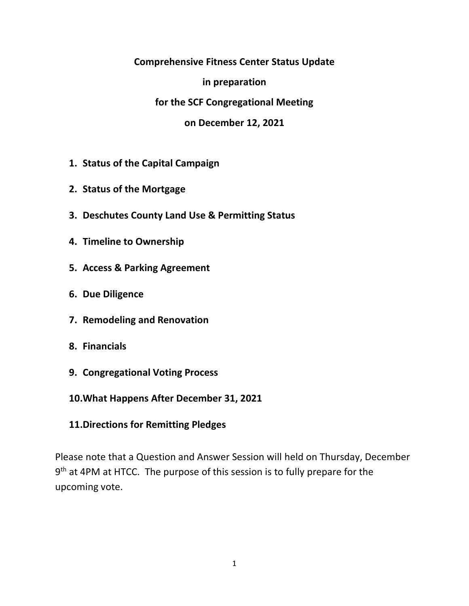#### **Comprehensive Fitness Center Status Update**

**in preparation**

**for the SCF Congregational Meeting**

**on December 12, 2021**

- **1. Status of the Capital Campaign**
- **2. Status of the Mortgage**
- **3. Deschutes County Land Use & Permitting Status**
- **4. Timeline to Ownership**
- **5. Access & Parking Agreement**
- **6. Due Diligence**
- **7. Remodeling and Renovation**
- **8. Financials**
- **9. Congregational Voting Process**
- **10.What Happens After December 31, 2021**
- **11.Directions for Remitting Pledges**

Please note that a Question and Answer Session will held on Thursday, December 9<sup>th</sup> at 4PM at HTCC. The purpose of this session is to fully prepare for the upcoming vote.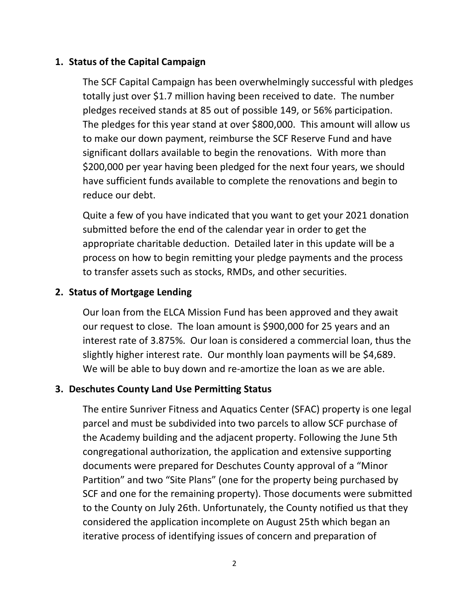# **1. Status of the Capital Campaign**

The SCF Capital Campaign has been overwhelmingly successful with pledges totally just over \$1.7 million having been received to date. The number pledges received stands at 85 out of possible 149, or 56% participation. The pledges for this year stand at over \$800,000. This amount will allow us to make our down payment, reimburse the SCF Reserve Fund and have significant dollars available to begin the renovations. With more than \$200,000 per year having been pledged for the next four years, we should have sufficient funds available to complete the renovations and begin to reduce our debt.

Quite a few of you have indicated that you want to get your 2021 donation submitted before the end of the calendar year in order to get the appropriate charitable deduction. Detailed later in this update will be a process on how to begin remitting your pledge payments and the process to transfer assets such as stocks, RMDs, and other securities.

# **2. Status of Mortgage Lending**

Our loan from the ELCA Mission Fund has been approved and they await our request to close. The loan amount is \$900,000 for 25 years and an interest rate of 3.875%. Our loan is considered a commercial loan, thus the slightly higher interest rate. Our monthly loan payments will be \$4,689. We will be able to buy down and re-amortize the loan as we are able.

## **3. Deschutes County Land Use Permitting Status**

The entire Sunriver Fitness and Aquatics Center (SFAC) property is one legal parcel and must be subdivided into two parcels to allow SCF purchase of the Academy building and the adjacent property. Following the June 5th congregational authorization, the application and extensive supporting documents were prepared for Deschutes County approval of a "Minor Partition" and two "Site Plans" (one for the property being purchased by SCF and one for the remaining property). Those documents were submitted to the County on July 26th. Unfortunately, the County notified us that they considered the application incomplete on August 25th which began an iterative process of identifying issues of concern and preparation of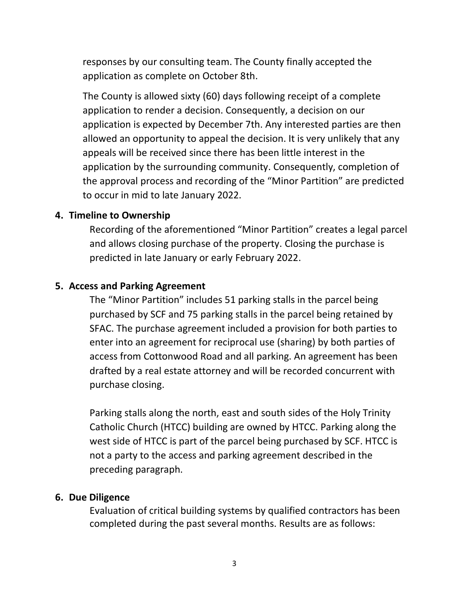responses by our consulting team. The County finally accepted the application as complete on October 8th.

The County is allowed sixty (60) days following receipt of a complete application to render a decision. Consequently, a decision on our application is expected by December 7th. Any interested parties are then allowed an opportunity to appeal the decision. It is very unlikely that any appeals will be received since there has been little interest in the application by the surrounding community. Consequently, completion of the approval process and recording of the "Minor Partition" are predicted to occur in mid to late January 2022.

#### **4. Timeline to Ownership**

Recording of the aforementioned "Minor Partition" creates a legal parcel and allows closing purchase of the property. Closing the purchase is predicted in late January or early February 2022.

#### **5. Access and Parking Agreement**

The "Minor Partition" includes 51 parking stalls in the parcel being purchased by SCF and 75 parking stalls in the parcel being retained by SFAC. The purchase agreement included a provision for both parties to enter into an agreement for reciprocal use (sharing) by both parties of access from Cottonwood Road and all parking. An agreement has been drafted by a real estate attorney and will be recorded concurrent with purchase closing.

Parking stalls along the north, east and south sides of the Holy Trinity Catholic Church (HTCC) building are owned by HTCC. Parking along the west side of HTCC is part of the parcel being purchased by SCF. HTCC is not a party to the access and parking agreement described in the preceding paragraph.

#### **6. Due Diligence**

Evaluation of critical building systems by qualified contractors has been completed during the past several months. Results are as follows: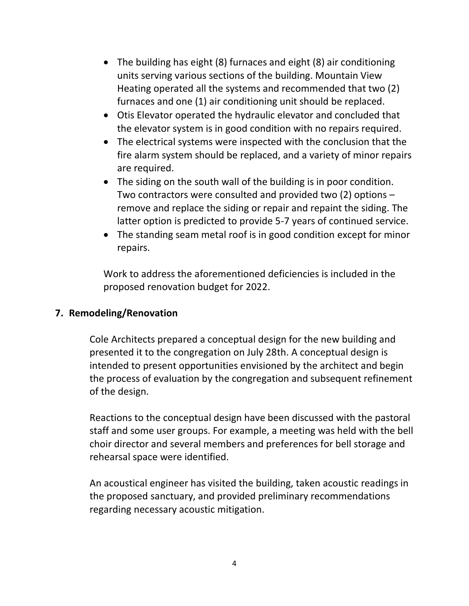- The building has eight (8) furnaces and eight (8) air conditioning units serving various sections of the building. Mountain View Heating operated all the systems and recommended that two (2) furnaces and one (1) air conditioning unit should be replaced.
- Otis Elevator operated the hydraulic elevator and concluded that the elevator system is in good condition with no repairs required.
- The electrical systems were inspected with the conclusion that the fire alarm system should be replaced, and a variety of minor repairs are required.
- The siding on the south wall of the building is in poor condition. Two contractors were consulted and provided two (2) options – remove and replace the siding or repair and repaint the siding. The latter option is predicted to provide 5-7 years of continued service.
- The standing seam metal roof is in good condition except for minor repairs.

Work to address the aforementioned deficiencies is included in the proposed renovation budget for 2022.

## **7. Remodeling/Renovation**

Cole Architects prepared a conceptual design for the new building and presented it to the congregation on July 28th. A conceptual design is intended to present opportunities envisioned by the architect and begin the process of evaluation by the congregation and subsequent refinement of the design.

Reactions to the conceptual design have been discussed with the pastoral staff and some user groups. For example, a meeting was held with the bell choir director and several members and preferences for bell storage and rehearsal space were identified.

An acoustical engineer has visited the building, taken acoustic readings in the proposed sanctuary, and provided preliminary recommendations regarding necessary acoustic mitigation.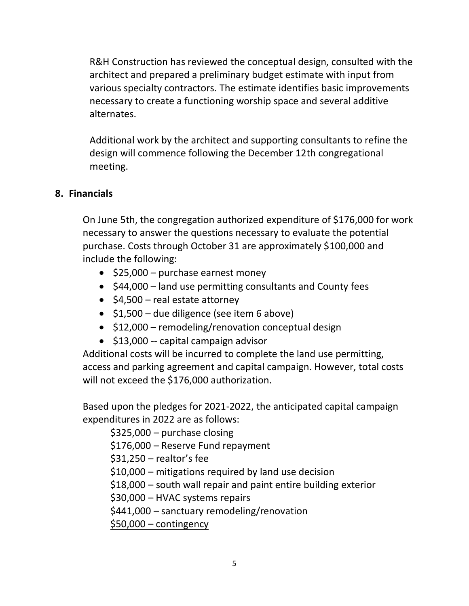R&H Construction has reviewed the conceptual design, consulted with the architect and prepared a preliminary budget estimate with input from various specialty contractors. The estimate identifies basic improvements necessary to create a functioning worship space and several additive alternates.

Additional work by the architect and supporting consultants to refine the design will commence following the December 12th congregational meeting.

## **8. Financials**

On June 5th, the congregation authorized expenditure of \$176,000 for work necessary to answer the questions necessary to evaluate the potential purchase. Costs through October 31 are approximately \$100,000 and include the following:

- \$25,000 purchase earnest money
- \$44,000 land use permitting consultants and County fees
- \$4,500 real estate attorney
- \$1,500 due diligence (see item 6 above)
- \$12,000 remodeling/renovation conceptual design
- \$13,000 -- capital campaign advisor

Additional costs will be incurred to complete the land use permitting, access and parking agreement and capital campaign. However, total costs will not exceed the \$176,000 authorization.

Based upon the pledges for 2021-2022, the anticipated capital campaign expenditures in 2022 are as follows:

\$325,000 – purchase closing \$176,000 – Reserve Fund repayment \$31,250 – realtor's fee \$10,000 – mitigations required by land use decision \$18,000 – south wall repair and paint entire building exterior \$30,000 – HVAC systems repairs \$441,000 – sanctuary remodeling/renovation \$50,000 – contingency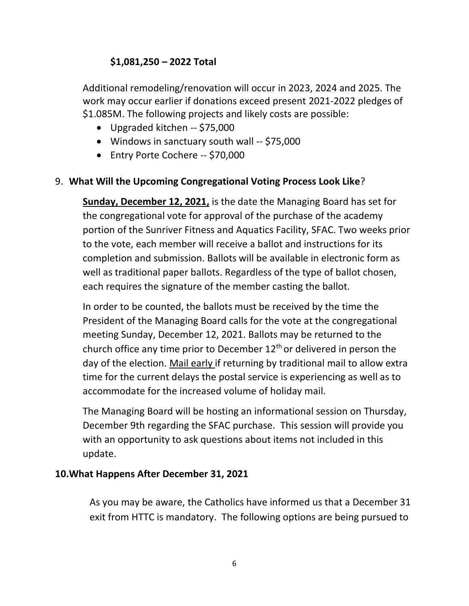# **\$1,081,250 – 2022 Total**

Additional remodeling/renovation will occur in 2023, 2024 and 2025. The work may occur earlier if donations exceed present 2021-2022 pledges of \$1.085M. The following projects and likely costs are possible:

- Upgraded kitchen -- \$75,000
- Windows in sanctuary south wall -- \$75,000
- Entry Porte Cochere -- \$70,000

# 9. **What Will the Upcoming Congregational Voting Process Look Like**?

**Sunday, December 12, 2021,** is the date the Managing Board has set for the congregational vote for approval of the purchase of the academy portion of the Sunriver Fitness and Aquatics Facility, SFAC. Two weeks prior to the vote, each member will receive a ballot and instructions for its completion and submission. Ballots will be available in electronic form as well as traditional paper ballots. Regardless of the type of ballot chosen, each requires the signature of the member casting the ballot.

In order to be counted, the ballots must be received by the time the President of the Managing Board calls for the vote at the congregational meeting Sunday, December 12, 2021. Ballots may be returned to the church office any time prior to December  $12<sup>th</sup>$  or delivered in person the day of the election. Mail early if returning by traditional mail to allow extra time for the current delays the postal service is experiencing as well as to accommodate for the increased volume of holiday mail.

The Managing Board will be hosting an informational session on Thursday, December 9th regarding the SFAC purchase. This session will provide you with an opportunity to ask questions about items not included in this update.

## **10.What Happens After December 31, 2021**

As you may be aware, the Catholics have informed us that a December 31 exit from HTTC is mandatory. The following options are being pursued to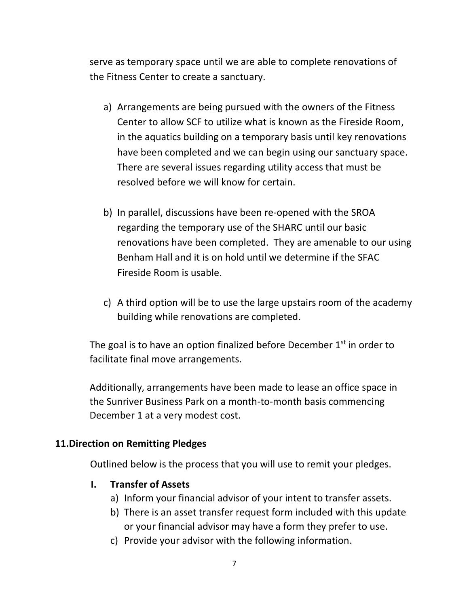serve as temporary space until we are able to complete renovations of the Fitness Center to create a sanctuary.

- a) Arrangements are being pursued with the owners of the Fitness Center to allow SCF to utilize what is known as the Fireside Room, in the aquatics building on a temporary basis until key renovations have been completed and we can begin using our sanctuary space. There are several issues regarding utility access that must be resolved before we will know for certain.
- b) In parallel, discussions have been re-opened with the SROA regarding the temporary use of the SHARC until our basic renovations have been completed. They are amenable to our using Benham Hall and it is on hold until we determine if the SFAC Fireside Room is usable.
- c) A third option will be to use the large upstairs room of the academy building while renovations are completed.

The goal is to have an option finalized before December  $1<sup>st</sup>$  in order to facilitate final move arrangements.

Additionally, arrangements have been made to lease an office space in the Sunriver Business Park on a month-to-month basis commencing December 1 at a very modest cost.

#### **11.Direction on Remitting Pledges**

Outlined below is the process that you will use to remit your pledges.

## **I. Transfer of Assets**

- a) Inform your financial advisor of your intent to transfer assets.
- b) There is an asset transfer request form included with this update or your financial advisor may have a form they prefer to use.
- c) Provide your advisor with the following information.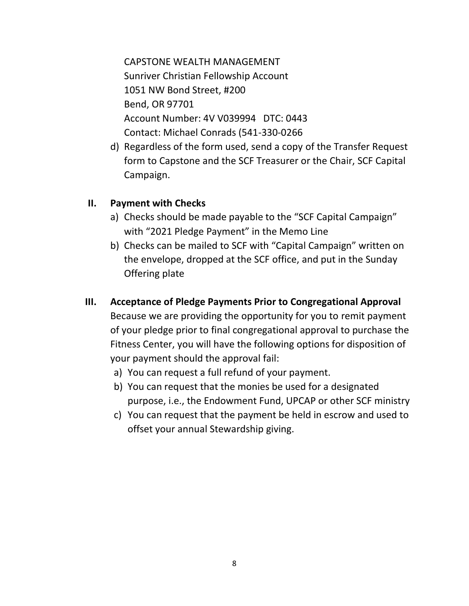CAPSTONE WEALTH MANAGEMENT Sunriver Christian Fellowship Account 1051 NW Bond Street, #200 Bend, OR 97701 Account Number: 4V V039994 DTC: 0443 Contact: Michael Conrads (541-330-0266

d) Regardless of the form used, send a copy of the Transfer Request form to Capstone and the SCF Treasurer or the Chair, SCF Capital Campaign.

#### **II. Payment with Checks**

- a) Checks should be made payable to the "SCF Capital Campaign" with "2021 Pledge Payment" in the Memo Line
- b) Checks can be mailed to SCF with "Capital Campaign" written on the envelope, dropped at the SCF office, and put in the Sunday Offering plate
- **III. Acceptance of Pledge Payments Prior to Congregational Approval** Because we are providing the opportunity for you to remit payment of your pledge prior to final congregational approval to purchase the Fitness Center, you will have the following options for disposition of your payment should the approval fail:
	- a) You can request a full refund of your payment.
	- b) You can request that the monies be used for a designated purpose, i.e., the Endowment Fund, UPCAP or other SCF ministry
	- c) You can request that the payment be held in escrow and used to offset your annual Stewardship giving.